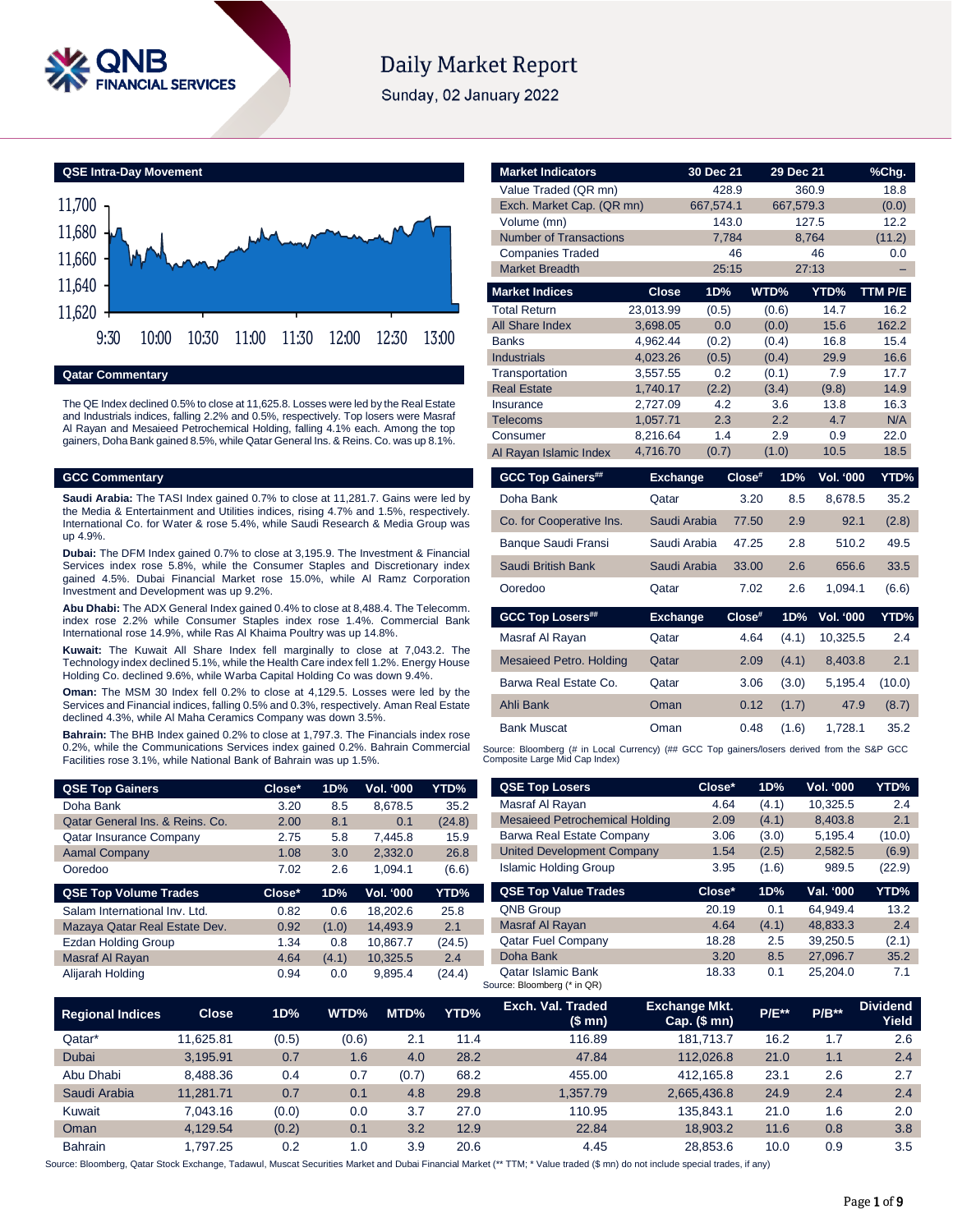

# **Daily Market Report**

Sunday, 02 January 2022

**QSE Intra-Day Movement**



**Qatar Commentary**

The QE Index declined 0.5% to close at 11,625.8. Losses were led by the Real Estate and Industrials indices, falling 2.2% and 0.5%, respectively. Top losers were Masraf Al Rayan and Mesaieed Petrochemical Holding, falling 4.1% each. Among the top gainers, Doha Bank gained 8.5%, while Qatar General Ins. & Reins. Co. was up 8.1%.

## **GCC Commentary**

**Saudi Arabia:** The TASI Index gained 0.7% to close at 11,281.7. Gains were led by the Media & Entertainment and Utilities indices, rising 4.7% and 1.5%, respectively. International Co. for Water & rose 5.4%, while Saudi Research & Media Group was up 4.9%.

**Dubai:** The DFM Index gained 0.7% to close at 3,195.9. The Investment & Financial Services index rose 5.8%, while the Consumer Staples and Discretionary index gained 4.5%. Dubai Financial Market rose 15.0%, while Al Ramz Corporation Investment and Development was up 9.2%.

**Abu Dhabi:** The ADX General Index gained 0.4% to close at 8,488.4. The Telecomm. index rose 2.2% while Consumer Staples index rose 1.4%. Commercial Bank International rose 14.9%, while Ras Al Khaima Poultry was up 14.8%.

**Kuwait:** The Kuwait All Share Index fell marginally to close at 7,043.2. The Technology index declined 5.1%, while the Health Care index fell 1.2%. Energy House Holding Co. declined 9.6%, while Warba Capital Holding Co was down 9.4%.

**Oman:** The MSM 30 Index fell 0.2% to close at 4,129.5. Losses were led by the Services and Financial indices, falling 0.5% and 0.3%, respectively. Aman Real Estate declined 4.3%, while Al Maha Ceramics Company was down 3.5%.

**Bahrain:** The BHB Index gained 0.2% to close at 1,797.3. The Financials index rose 0.2%, while the Communications Services index gained 0.2%. Bahrain Commercial Facilities rose 3.1%, while National Bank of Bahrain was up 1.5%.

| <b>QSE Top Gainers</b>          | Close* | 1D%   | Vol. '000 | YTD%   |
|---------------------------------|--------|-------|-----------|--------|
| Doha Bank                       | 3.20   | 8.5   | 8,678.5   | 35.2   |
| Qatar General Ins. & Reins. Co. | 2.00   | 8.1   | 0.1       | (24.8) |
| <b>Qatar Insurance Company</b>  | 2.75   | 5.8   | 7.445.8   | 15.9   |
| <b>Aamal Company</b>            | 1.08   | 3.0   | 2,332.0   | 26.8   |
| Ooredoo                         | 7.02   | 2.6   | 1.094.1   | (6.6)  |
| <b>QSE Top Volume Trades</b>    | Close* | 1D%   | Vol. '000 | YTD%   |
| Salam International Inv. Ltd.   | 0.82   | 0.6   | 18.202.6  | 25.8   |
| Mazaya Qatar Real Estate Dev.   | 0.92   | (1.0) | 14,493.9  | 2.1    |
| <b>Ezdan Holding Group</b>      | 1.34   | 0.8   | 10,867.7  | (24.5) |
| Masraf Al Rayan                 | 4.64   | (4.1) | 10,325.5  | 2.4    |
|                                 |        |       |           |        |

| <b>Market Indicators</b>                                                                    |                      | 30 Dec 21    | 29 Dec 21     |                  | %Chg.        |
|---------------------------------------------------------------------------------------------|----------------------|--------------|---------------|------------------|--------------|
| Value Traded (QR mn)                                                                        |                      | 428.9        |               | 360.9            | 18.8         |
| Exch. Market Cap. (QR mn)                                                                   |                      | 667,574.1    | 667,579.3     |                  | (0.0)        |
| Volume (mn)                                                                                 |                      | 143.0        |               | 127.5            | 12.2         |
| <b>Number of Transactions</b>                                                               |                      | 7,784        |               | 8,764            | (11.2)       |
| <b>Companies Traded</b>                                                                     |                      | 46           |               | 46               | 0.0          |
| <b>Market Breadth</b>                                                                       |                      | 25:15        |               | 27:13            |              |
| <b>Market Indices</b>                                                                       | <b>Close</b>         | 1D%          | WTD%          | YTD%             | TTM P/E      |
| <b>Total Return</b>                                                                         | 23,013.99            | (0.5)        | (0.6)         | 14.7             | 16.2         |
| <b>All Share Index</b>                                                                      | 3,698.05             | 0.0          | (0.0)         | 15.6             | 162.2        |
| <b>Banks</b>                                                                                | 4,962.44             | (0.2)        | (0.4)         | 16.8             | 15.4         |
| <b>Industrials</b>                                                                          | 4,023.26             | (0.5)        | (0.4)         | 29.9             | 16.6         |
| Transportation                                                                              | 3,557.55             | 0.2          | (0.1)         | 7.9              | 17.7         |
| <b>Real Estate</b>                                                                          | 1,740.17             | (2.2)        | (3.4)         | (9.8)            | 14.9         |
| Insurance                                                                                   | 2,727.09             | 4.2          | 3.6           | 13.8             | 16.3         |
| <b>Telecoms</b>                                                                             | 1,057.71             | 2.3          | 2.2           | 4.7              | N/A          |
| Consumer                                                                                    | 8,216.64<br>4,716.70 | 1.4<br>(0.7) | 2.9<br>(1.0)  | 0.9<br>10.5      | 22.0<br>18.5 |
| Al Rayan Islamic Index                                                                      |                      |              |               |                  |              |
| <b>GCC Top Gainers##</b>                                                                    | <b>Exchange</b>      |              | Close#<br>1D% | Vol. '000        | YTD%         |
| Doha Bank                                                                                   | Qatar                |              | 3.20<br>8.5   | 8,678.5          | 35.2         |
| Co. for Cooperative Ins.                                                                    |                      | Saudi Arabia | 2.9<br>77.50  | 92.1             | (2.8)        |
| Banque Saudi Fransi                                                                         |                      | Saudi Arabia | 47.25<br>2.8  | 510.2            | 49.5         |
| Saudi British Bank                                                                          |                      | Saudi Arabia | 2.6<br>33.00  | 656.6            | 33.5         |
| Ooredoo                                                                                     | Qatar                |              | 7.02<br>2.6   | 1,094.1          | (6.6)        |
| <b>GCC Top Losers##</b>                                                                     | <b>Exchange</b>      |              | Close#<br>1D% | <b>Vol. '000</b> | YTD%         |
| Masraf Al Rayan                                                                             | Qatar                |              | 4.64<br>(4.1) | 10,325.5         | 2.4          |
| <b>Mesaieed Petro. Holding</b>                                                              | Qatar                |              | 2.09<br>(4.1) | 8,403.8          | 2.1          |
| Barwa Real Estate Co.                                                                       | Qatar                |              | 3.06<br>(3.0) | 5,195.4          | (10.0)       |
| Ahli Bank                                                                                   | Oman                 |              | 0.12<br>(1.7) | 47.9             | (8.7)        |
| <b>Bank Muscat</b>                                                                          | Oman                 |              | 0.48<br>(1.6) | 1,728.1          | 35.2         |
| Source: Bloomberg (# in Local Currency) (## GCC Top gainers/losers derived from the S&P GCC |                      |              |               |                  |              |

Composite Large Mid Cap Index)

| <b>QSE Top Losers</b>                 | Close* | 1D%   | <b>Vol. '000</b> | YTD%   |
|---------------------------------------|--------|-------|------------------|--------|
| Masraf Al Rayan                       | 4.64   | (4.1) | 10,325.5         | 2.4    |
| <b>Mesaieed Petrochemical Holding</b> | 2.09   | (4.1) | 8.403.8          | 2.1    |
| Barwa Real Estate Company             | 3.06   | (3.0) | 5,195.4          | (10.0) |
| <b>United Development Company</b>     | 1.54   | (2.5) | 2,582.5          | (6.9)  |
| <b>Islamic Holding Group</b>          | 3.95   | (1.6) | 989.5            | (22.9) |
|                                       |        |       |                  |        |
| <b>QSE Top Value Trades</b>           | Close* | 1D%   | Val. '000        | YTD%   |
| <b>QNB Group</b>                      | 20.19  | 0.1   | 64.949.4         | 13.2   |
| <b>Masraf Al Rayan</b>                | 4.64   | (4.1) | 48.833.3         | 2.4    |
| <b>Qatar Fuel Company</b>             | 18.28  | 2.5   | 39.250.5         | (2.1)  |
| Doha Bank                             | 3.20   | 8.5   | 27.096.7         | 35.2   |

| <b>Regional Indices</b> | <b>Close</b> | 1D%   | WTD%  | MTD%  | YTD% | Exch. Val. Traded<br>(\$mn) | <b>Exchange Mkt.</b><br>$Cap.$ (\$ mn) | <b>P/E**</b> | $P/B**$ | <b>Dividend</b><br>Yield |
|-------------------------|--------------|-------|-------|-------|------|-----------------------------|----------------------------------------|--------------|---------|--------------------------|
| Qatar*                  | 11.625.81    | (0.5) | (0.6) | 2.1   | 11.4 | 116.89                      | 181.713.7                              | 16.2         | 1.7     | 2.6                      |
| Dubai                   | 3.195.91     | 0.7   | 1.6   | 4.0   | 28.2 | 47.84                       | 112.026.8                              | 21.0         | 1.1     | 2.4                      |
| Abu Dhabi               | 8.488.36     | 0.4   | 0.7   | (0.7) | 68.2 | 455.00                      | 412.165.8                              | 23.1         | 2.6     | 2.7                      |
| Saudi Arabia            | 11.281.71    | 0.7   | 0.1   | 4.8   | 29.8 | 1.357.79                    | 2.665.436.8                            | 24.9         | 2.4     | 2.4                      |
| Kuwait                  | 7.043.16     | (0.0) | 0.0   | 3.7   | 27.0 | 110.95                      | 135.843.1                              | 21.0         | 1.6     | 2.0                      |
| Oman                    | 4.129.54     | (0.2) | 0.1   | 3.2   | 12.9 | 22.84                       | 18.903.2                               | 11.6         | 0.8     | 3.8                      |
| <b>Bahrain</b>          | 1.797.25     | 0.2   | 1.0   | 3.9   | 20.6 | 4.45                        | 28.853.6                               | 10.0         | 0.9     | 3.5                      |

Source: Bloomberg, Qatar Stock Exchange, Tadawul, Muscat Securities Market and Dubai Financial Market (\*\* TTM; \* Value traded (\$ mn) do not include special trades, if any)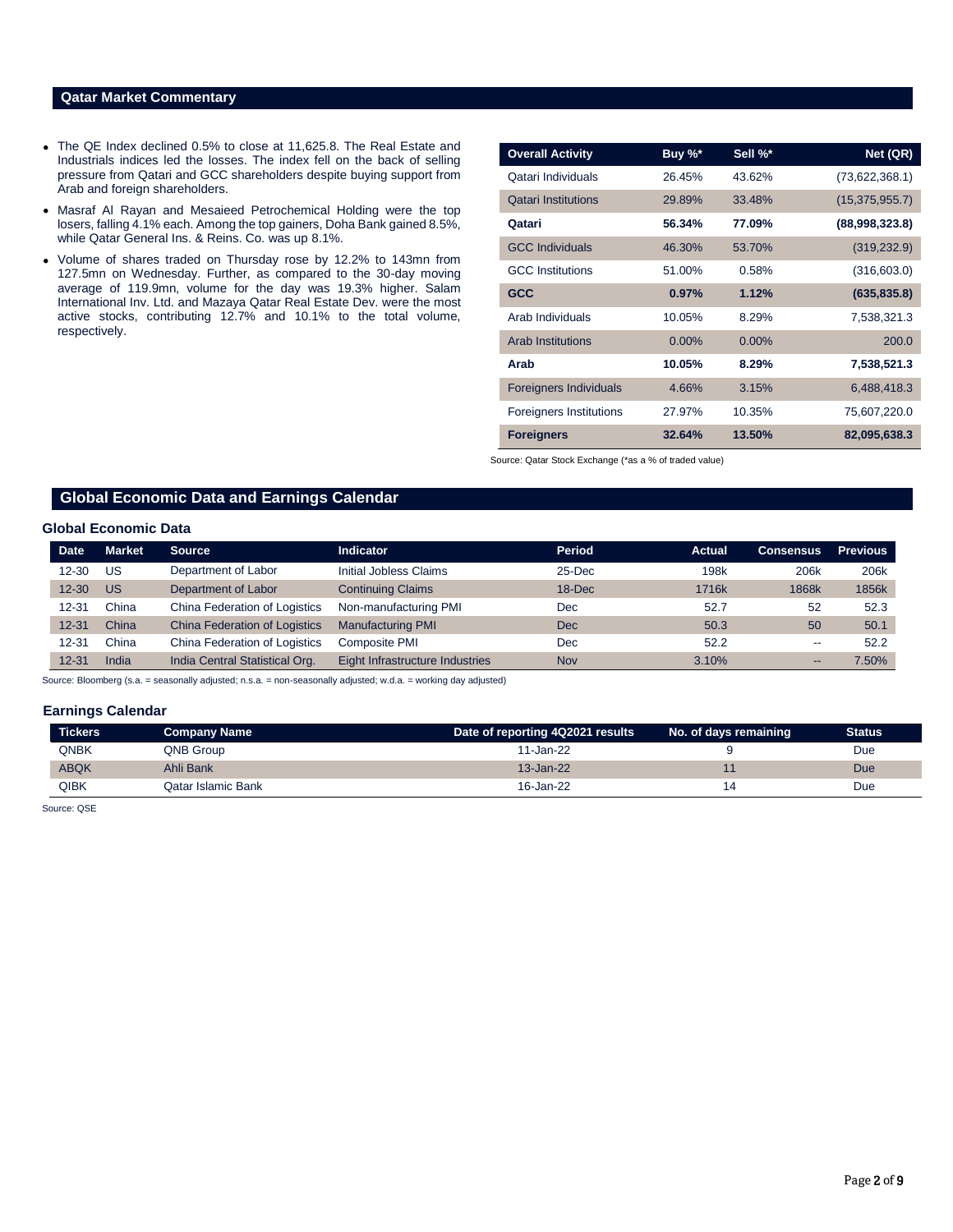# **Qatar Market Commentary**

- The QE Index declined 0.5% to close at 11,625.8. The Real Estate and Industrials indices led the losses. The index fell on the back of selling pressure from Qatari and GCC shareholders despite buying support from Arab and foreign shareholders.
- Masraf Al Rayan and Mesaieed Petrochemical Holding were the top losers, falling 4.1% each. Among the top gainers, Doha Bank gained 8.5%, while Qatar General Ins. & Reins. Co. was up 8.1%.
- Volume of shares traded on Thursday rose by 12.2% to 143mn from 127.5mn on Wednesday. Further, as compared to the 30-day moving average of 119.9mn, volume for the day was 19.3% higher. Salam International Inv. Ltd. and Mazaya Qatar Real Estate Dev. were the most active stocks, contributing 12.7% and 10.1% to the total volume, respectively.

| <b>Overall Activity</b>        | Buy %*   | Sell %*  | Net (QR)         |
|--------------------------------|----------|----------|------------------|
| Qatari Individuals             | 26.45%   | 43.62%   | (73,622,368.1)   |
| <b>Qatari Institutions</b>     | 29.89%   | 33.48%   | (15, 375, 955.7) |
| Qatari                         | 56.34%   | 77.09%   | (88,998,323.8)   |
| <b>GCC Individuals</b>         | 46.30%   | 53.70%   | (319, 232.9)     |
| <b>GCC</b> Institutions        | 51.00%   | 0.58%    | (316, 603.0)     |
| <b>GCC</b>                     | 0.97%    | 1.12%    | (635, 835.8)     |
| Arab Individuals               | 10.05%   | 8.29%    | 7,538,321.3      |
| <b>Arab Institutions</b>       | $0.00\%$ | $0.00\%$ | 200.0            |
| Arab                           | 10.05%   | 8.29%    | 7,538,521.3      |
| <b>Foreigners Individuals</b>  | 4.66%    | 3.15%    | 6,488,418.3      |
| <b>Foreigners Institutions</b> | 27.97%   | 10.35%   | 75,607,220.0     |
| <b>Foreigners</b>              | 32.64%   | 13.50%   | 82,095,638.3     |

Source: Qatar Stock Exchange (\*as a % of traded value)

# **Global Economic Data and Earnings Calendar**

### **Global Economic Data**

| <b>Date</b> | <b>Market</b> | <b>Source</b>                        | <b>Indicator</b>                | <b>Period</b> | <b>Actual</b>    | <b>Consensus</b>         | <b>Previous</b> |
|-------------|---------------|--------------------------------------|---------------------------------|---------------|------------------|--------------------------|-----------------|
| $12 - 30$   | US            | Department of Labor                  | Initial Jobless Claims          | $25$ -Dec     | 198 <sub>k</sub> | 206k                     | 206k            |
| $12 - 30$   | <b>US</b>     | Department of Labor                  | <b>Continuing Claims</b>        | $18 - Dec$    | 1716k            | 1868k                    | 1856k           |
| $12 - 31$   | China         | China Federation of Logistics        | Non-manufacturing PMI           | <b>Dec</b>    | 52.7             | 52                       | 52.3            |
| $12 - 31$   | China         | <b>China Federation of Logistics</b> | <b>Manufacturing PMI</b>        | <b>Dec</b>    | 50.3             | 50                       | 50.1            |
| $12 - 31$   | China         | China Federation of Logistics        | Composite PMI                   | <b>Dec</b>    | 52.2             | $\overline{\phantom{m}}$ | 52.2            |
| $12 - 31$   | India         | India Central Statistical Org.       | Eight Infrastructure Industries | <b>Nov</b>    | 3.10%            | --                       | 7.50%           |

Source: Bloomberg (s.a. = seasonally adjusted; n.s.a. = non-seasonally adjusted; w.d.a. = working day adjusted)

#### **Earnings Calendar**

| <b>Tickers</b> | Company Name       | Date of reporting 4Q2021 results | No. of days remaining | <b>Status</b> |
|----------------|--------------------|----------------------------------|-----------------------|---------------|
| QNBK           | QNB Group          | 11-Jan-22                        |                       | Due           |
| <b>ABQK</b>    | Ahli Bank          | $13 - Jan-22$                    |                       | Due           |
| QIBK           | Qatar Islamic Bank | 16-Jan-22                        |                       | Due           |

Source: QSE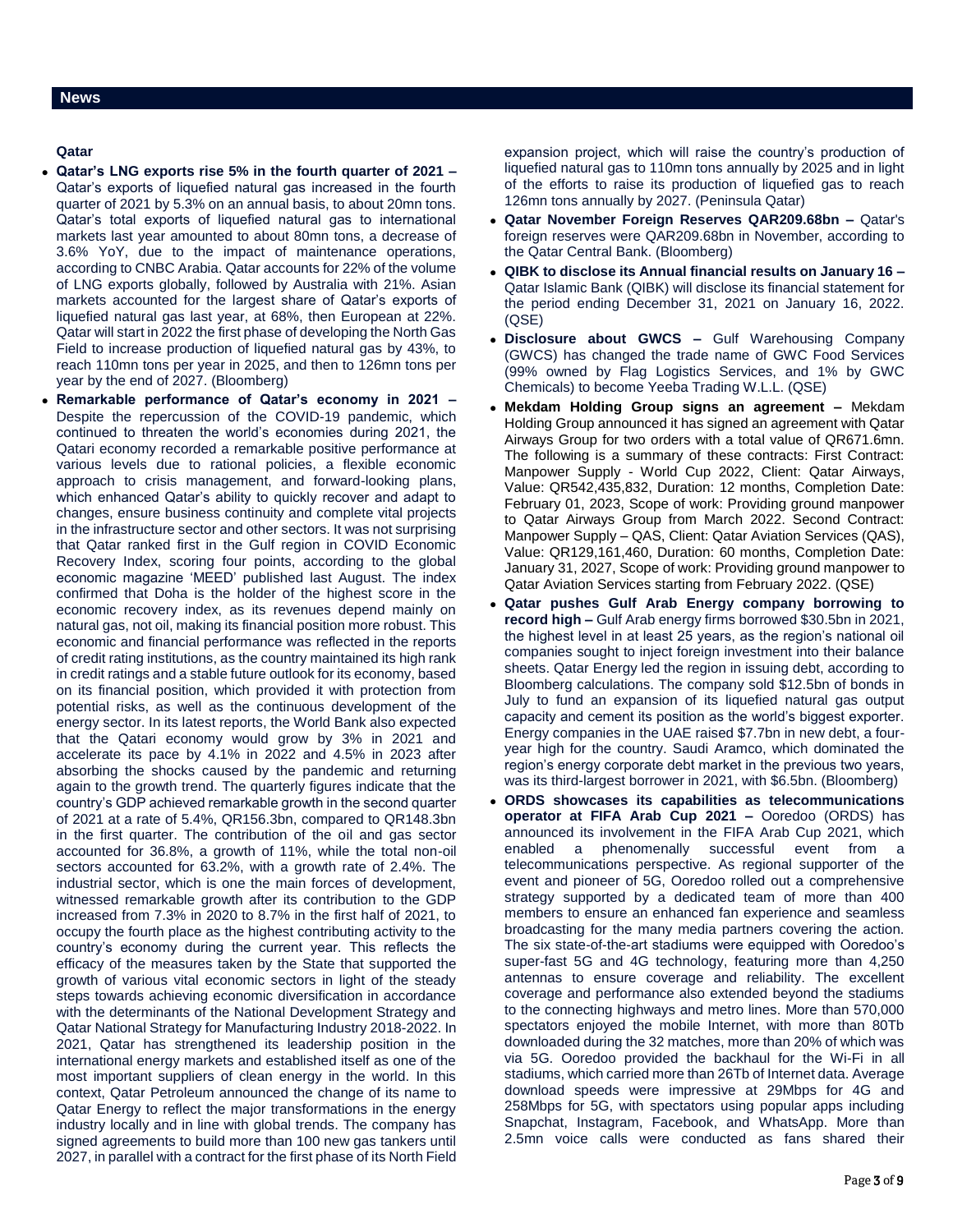# **Qatar**

- **Qatar's LNG exports rise 5% in the fourth quarter of 2021 –** Qatar's exports of liquefied natural gas increased in the fourth quarter of 2021 by 5.3% on an annual basis, to about 20mn tons. Qatar's total exports of liquefied natural gas to international markets last year amounted to about 80mn tons, a decrease of 3.6% YoY, due to the impact of maintenance operations, according to CNBC Arabia. Qatar accounts for 22% of the volume of LNG exports globally, followed by Australia with 21%. Asian markets accounted for the largest share of Qatar's exports of liquefied natural gas last year, at 68%, then European at 22%. Qatar will start in 2022 the first phase of developing the North Gas Field to increase production of liquefied natural gas by 43%, to reach 110mn tons per year in 2025, and then to 126mn tons per year by the end of 2027. (Bloomberg)
- **Remarkable performance of Qatar's economy in 2021 –** Despite the repercussion of the COVID-19 pandemic, which continued to threaten the world's economies during 2021, the Qatari economy recorded a remarkable positive performance at various levels due to rational policies, a flexible economic approach to crisis management, and forward-looking plans, which enhanced Qatar's ability to quickly recover and adapt to changes, ensure business continuity and complete vital projects in the infrastructure sector and other sectors. It was not surprising that Qatar ranked first in the Gulf region in COVID Economic Recovery Index, scoring four points, according to the global economic magazine 'MEED' published last August. The index confirmed that Doha is the holder of the highest score in the economic recovery index, as its revenues depend mainly on natural gas, not oil, making its financial position more robust. This economic and financial performance was reflected in the reports of credit rating institutions, as the country maintained its high rank in credit ratings and a stable future outlook for its economy, based on its financial position, which provided it with protection from potential risks, as well as the continuous development of the energy sector. In its latest reports, the World Bank also expected that the Qatari economy would grow by 3% in 2021 and accelerate its pace by 4.1% in 2022 and 4.5% in 2023 after absorbing the shocks caused by the pandemic and returning again to the growth trend. The quarterly figures indicate that the country's GDP achieved remarkable growth in the second quarter of 2021 at a rate of 5.4%, QR156.3bn, compared to QR148.3bn in the first quarter. The contribution of the oil and gas sector accounted for 36.8%, a growth of 11%, while the total non-oil sectors accounted for 63.2%, with a growth rate of 2.4%. The industrial sector, which is one the main forces of development, witnessed remarkable growth after its contribution to the GDP increased from 7.3% in 2020 to 8.7% in the first half of 2021, to occupy the fourth place as the highest contributing activity to the country's economy during the current year. This reflects the efficacy of the measures taken by the State that supported the growth of various vital economic sectors in light of the steady steps towards achieving economic diversification in accordance with the determinants of the National Development Strategy and Qatar National Strategy for Manufacturing Industry 2018-2022. In 2021, Qatar has strengthened its leadership position in the international energy markets and established itself as one of the most important suppliers of clean energy in the world. In this context, Qatar Petroleum announced the change of its name to Qatar Energy to reflect the major transformations in the energy industry locally and in line with global trends. The company has signed agreements to build more than 100 new gas tankers until 2027, in parallel with a contract for the first phase of its North Field

expansion project, which will raise the country's production of liquefied natural gas to 110mn tons annually by 2025 and in light of the efforts to raise its production of liquefied gas to reach 126mn tons annually by 2027. (Peninsula Qatar)

- **Qatar November Foreign Reserves QAR209.68bn –** Qatar's foreign reserves were QAR209.68bn in November, according to the Qatar Central Bank. (Bloomberg)
- **QIBK to disclose its Annual financial results on January 16 –** Qatar Islamic Bank (QIBK) will disclose its financial statement for the period ending December 31, 2021 on January 16, 2022. (QSE)
- **Disclosure about GWCS –** Gulf Warehousing Company (GWCS) has changed the trade name of GWC Food Services (99% owned by Flag Logistics Services, and 1% by GWC Chemicals) to become Yeeba Trading W.L.L. (QSE)
- **Mekdam Holding Group signs an agreement –** Mekdam Holding Group announced it has signed an agreement with Qatar Airways Group for two orders with a total value of QR671.6mn. The following is a summary of these contracts: First Contract: Manpower Supply - World Cup 2022, Client: Qatar Airways, Value: QR542,435,832, Duration: 12 months, Completion Date: February 01, 2023, Scope of work: Providing ground manpower to Qatar Airways Group from March 2022. Second Contract: Manpower Supply – QAS, Client: Qatar Aviation Services (QAS), Value: QR129,161,460, Duration: 60 months, Completion Date: January 31, 2027, Scope of work: Providing ground manpower to Qatar Aviation Services starting from February 2022. (QSE)
- **Qatar pushes Gulf Arab Energy company borrowing to record high –** Gulf Arab energy firms borrowed \$30.5bn in 2021, the highest level in at least 25 years, as the region's national oil companies sought to inject foreign investment into their balance sheets. Qatar Energy led the region in issuing debt, according to Bloomberg calculations. The company sold \$12.5bn of bonds in July to fund an expansion of its liquefied natural gas output capacity and cement its position as the world's biggest exporter. Energy companies in the UAE raised \$7.7bn in new debt, a fouryear high for the country. Saudi Aramco, which dominated the region's energy corporate debt market in the previous two years, was its third-largest borrower in 2021, with \$6.5bn. (Bloomberg)
- **ORDS showcases its capabilities as telecommunications operator at FIFA Arab Cup 2021 –** Ooredoo (ORDS) has announced its involvement in the FIFA Arab Cup 2021, which enabled a phenomenally successful event from a telecommunications perspective. As regional supporter of the event and pioneer of 5G, Ooredoo rolled out a comprehensive strategy supported by a dedicated team of more than 400 members to ensure an enhanced fan experience and seamless broadcasting for the many media partners covering the action. The six state-of-the-art stadiums were equipped with Ooredoo's super-fast 5G and 4G technology, featuring more than 4,250 antennas to ensure coverage and reliability. The excellent coverage and performance also extended beyond the stadiums to the connecting highways and metro lines. More than 570,000 spectators enjoyed the mobile Internet, with more than 80Tb downloaded during the 32 matches, more than 20% of which was via 5G. Ooredoo provided the backhaul for the Wi-Fi in all stadiums, which carried more than 26Tb of Internet data. Average download speeds were impressive at 29Mbps for 4G and 258Mbps for 5G, with spectators using popular apps including Snapchat, Instagram, Facebook, and WhatsApp. More than 2.5mn voice calls were conducted as fans shared their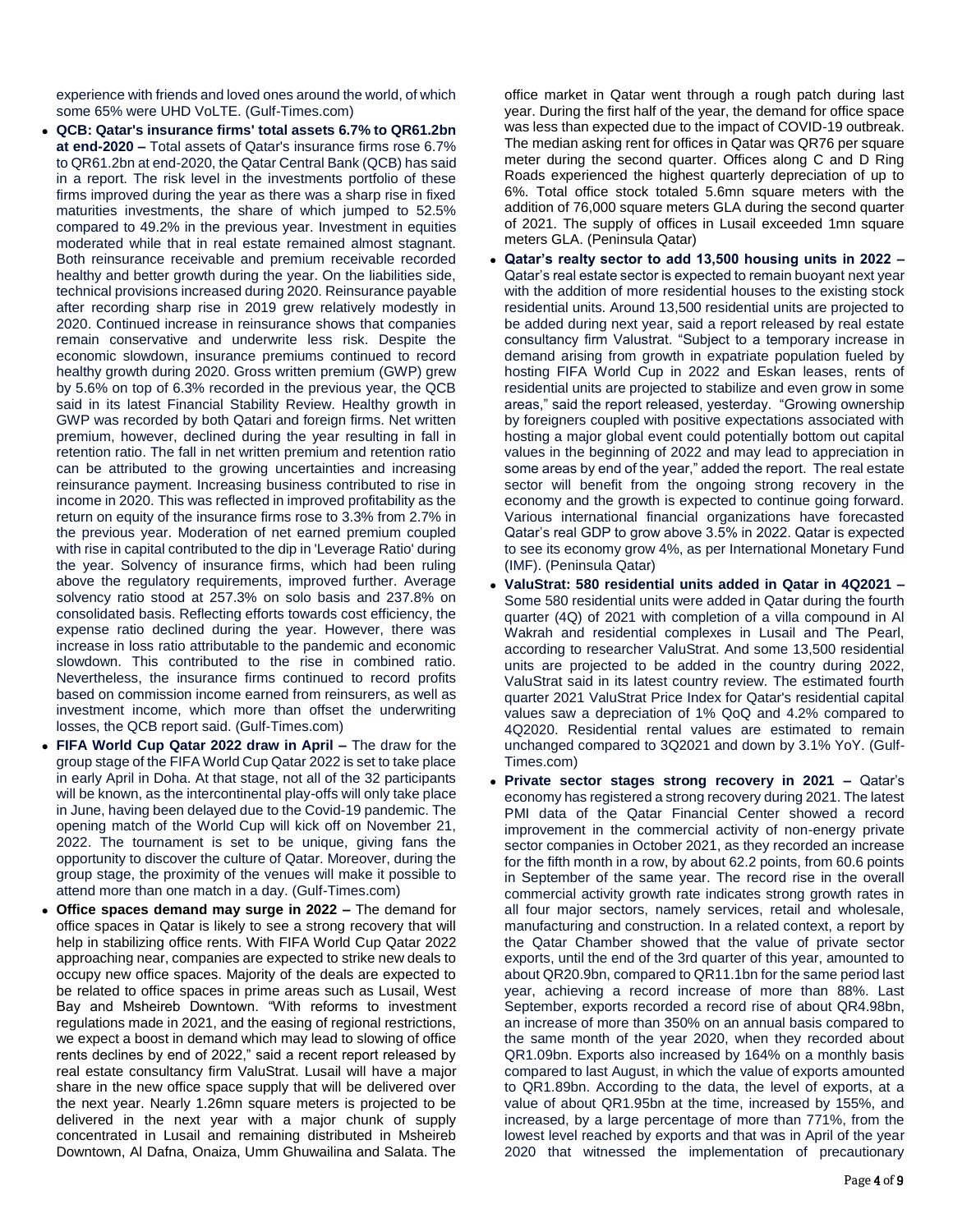experience with friends and loved ones around the world, of which some 65% were UHD VoLTE. (Gulf-Times.com)

- **QCB: Qatar's insurance firms' total assets 6.7% to QR61.2bn at end-2020 –** Total assets of Qatar's insurance firms rose 6.7% to QR61.2bn at end-2020, the Qatar Central Bank (QCB) has said in a report. The risk level in the investments portfolio of these firms improved during the year as there was a sharp rise in fixed maturities investments, the share of which jumped to 52.5% compared to 49.2% in the previous year. Investment in equities moderated while that in real estate remained almost stagnant. Both reinsurance receivable and premium receivable recorded healthy and better growth during the year. On the liabilities side, technical provisions increased during 2020. Reinsurance payable after recording sharp rise in 2019 grew relatively modestly in 2020. Continued increase in reinsurance shows that companies remain conservative and underwrite less risk. Despite the economic slowdown, insurance premiums continued to record healthy growth during 2020. Gross written premium (GWP) grew by 5.6% on top of 6.3% recorded in the previous year, the QCB said in its latest Financial Stability Review. Healthy growth in GWP was recorded by both Qatari and foreign firms. Net written premium, however, declined during the year resulting in fall in retention ratio. The fall in net written premium and retention ratio can be attributed to the growing uncertainties and increasing reinsurance payment. Increasing business contributed to rise in income in 2020. This was reflected in improved profitability as the return on equity of the insurance firms rose to 3.3% from 2.7% in the previous year. Moderation of net earned premium coupled with rise in capital contributed to the dip in 'Leverage Ratio' during the year. Solvency of insurance firms, which had been ruling above the regulatory requirements, improved further. Average solvency ratio stood at 257.3% on solo basis and 237.8% on consolidated basis. Reflecting efforts towards cost efficiency, the expense ratio declined during the year. However, there was increase in loss ratio attributable to the pandemic and economic slowdown. This contributed to the rise in combined ratio. Nevertheless, the insurance firms continued to record profits based on commission income earned from reinsurers, as well as investment income, which more than offset the underwriting losses, the QCB report said. (Gulf-Times.com)
- **FIFA World Cup Qatar 2022 draw in April –** The draw for the group stage of the FIFA World Cup Qatar 2022 is set to take place in early April in Doha. At that stage, not all of the 32 participants will be known, as the intercontinental play-offs will only take place in June, having been delayed due to the Covid-19 pandemic. The opening match of the World Cup will kick off on November 21, 2022. The tournament is set to be unique, giving fans the opportunity to discover the culture of Qatar. Moreover, during the group stage, the proximity of the venues will make it possible to attend more than one match in a day. (Gulf-Times.com)
- **Office spaces demand may surge in 2022 –** The demand for office spaces in Qatar is likely to see a strong recovery that will help in stabilizing office rents. With FIFA World Cup Qatar 2022 approaching near, companies are expected to strike new deals to occupy new office spaces. Majority of the deals are expected to be related to office spaces in prime areas such as Lusail, West Bay and Msheireb Downtown. "With reforms to investment regulations made in 2021, and the easing of regional restrictions, we expect a boost in demand which may lead to slowing of office rents declines by end of 2022," said a recent report released by real estate consultancy firm ValuStrat. Lusail will have a major share in the new office space supply that will be delivered over the next year. Nearly 1.26mn square meters is projected to be delivered in the next year with a major chunk of supply concentrated in Lusail and remaining distributed in Msheireb Downtown, Al Dafna, Onaiza, Umm Ghuwailina and Salata. The

office market in Qatar went through a rough patch during last year. During the first half of the year, the demand for office space was less than expected due to the impact of COVID-19 outbreak. The median asking rent for offices in Qatar was QR76 per square meter during the second quarter. Offices along C and D Ring Roads experienced the highest quarterly depreciation of up to 6%. Total office stock totaled 5.6mn square meters with the addition of 76,000 square meters GLA during the second quarter of 2021. The supply of offices in Lusail exceeded 1mn square meters GLA. (Peninsula Qatar)

- **Qatar's realty sector to add 13,500 housing units in 2022 –** Qatar's real estate sector is expected to remain buoyant next year with the addition of more residential houses to the existing stock residential units. Around 13,500 residential units are projected to be added during next year, said a report released by real estate consultancy firm Valustrat. "Subject to a temporary increase in demand arising from growth in expatriate population fueled by hosting FIFA World Cup in 2022 and Eskan leases, rents of residential units are projected to stabilize and even grow in some areas," said the report released, yesterday. "Growing ownership by foreigners coupled with positive expectations associated with hosting a major global event could potentially bottom out capital values in the beginning of 2022 and may lead to appreciation in some areas by end of the year," added the report. The real estate sector will benefit from the ongoing strong recovery in the economy and the growth is expected to continue going forward. Various international financial organizations have forecasted Qatar's real GDP to grow above 3.5% in 2022. Qatar is expected to see its economy grow 4%, as per International Monetary Fund (IMF). (Peninsula Qatar)
- **ValuStrat: 580 residential units added in Qatar in 4Q2021 –** Some 580 residential units were added in Qatar during the fourth quarter (4Q) of 2021 with completion of a villa compound in Al Wakrah and residential complexes in Lusail and The Pearl, according to researcher ValuStrat. And some 13,500 residential units are projected to be added in the country during 2022, ValuStrat said in its latest country review. The estimated fourth quarter 2021 ValuStrat Price Index for Qatar's residential capital values saw a depreciation of 1% QoQ and 4.2% compared to 4Q2020. Residential rental values are estimated to remain unchanged compared to 3Q2021 and down by 3.1% YoY. (Gulf-Times.com)
- **Private sector stages strong recovery in 2021 –** Qatar's economy has registered a strong recovery during 2021. The latest PMI data of the Qatar Financial Center showed a record improvement in the commercial activity of non-energy private sector companies in October 2021, as they recorded an increase for the fifth month in a row, by about 62.2 points, from 60.6 points in September of the same year. The record rise in the overall commercial activity growth rate indicates strong growth rates in all four major sectors, namely services, retail and wholesale, manufacturing and construction. In a related context, a report by the Qatar Chamber showed that the value of private sector exports, until the end of the 3rd quarter of this year, amounted to about QR20.9bn, compared to QR11.1bn for the same period last year, achieving a record increase of more than 88%. Last September, exports recorded a record rise of about QR4.98bn, an increase of more than 350% on an annual basis compared to the same month of the year 2020, when they recorded about QR1.09bn. Exports also increased by 164% on a monthly basis compared to last August, in which the value of exports amounted to QR1.89bn. According to the data, the level of exports, at a value of about QR1.95bn at the time, increased by 155%, and increased, by a large percentage of more than 771%, from the lowest level reached by exports and that was in April of the year 2020 that witnessed the implementation of precautionary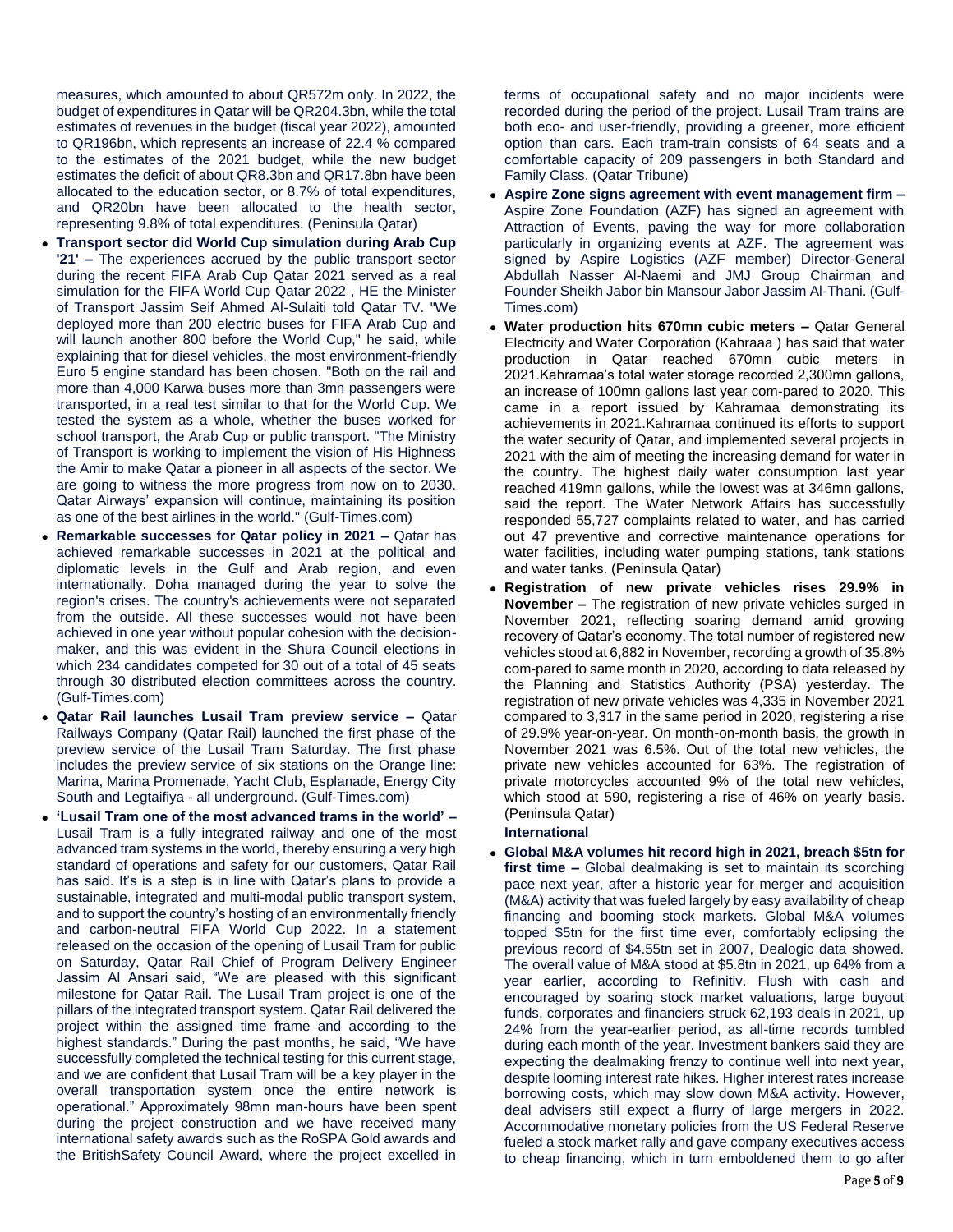measures, which amounted to about QR572m only. In 2022, the budget of expenditures in Qatar will be QR204.3bn, while the total estimates of revenues in the budget (fiscal year 2022), amounted to QR196bn, which represents an increase of 22.4 % compared to the estimates of the 2021 budget, while the new budget estimates the deficit of about QR8.3bn and QR17.8bn have been allocated to the education sector, or 8.7% of total expenditures, and QR20bn have been allocated to the health sector, representing 9.8% of total expenditures. (Peninsula Qatar)

- **Transport sector did World Cup simulation during Arab Cup '21' –** The experiences accrued by the public transport sector during the recent FIFA Arab Cup Qatar 2021 served as a real simulation for the FIFA World Cup Qatar 2022 , HE the Minister of Transport Jassim Seif Ahmed Al-Sulaiti told Qatar TV. "We deployed more than 200 electric buses for FIFA Arab Cup and will launch another 800 before the World Cup," he said, while explaining that for diesel vehicles, the most environment-friendly Euro 5 engine standard has been chosen. "Both on the rail and more than 4,000 Karwa buses more than 3mn passengers were transported, in a real test similar to that for the World Cup. We tested the system as a whole, whether the buses worked for school transport, the Arab Cup or public transport. "The Ministry of Transport is working to implement the vision of His Highness the Amir to make Qatar a pioneer in all aspects of the sector. We are going to witness the more progress from now on to 2030. Qatar Airways' expansion will continue, maintaining its position as one of the best airlines in the world." (Gulf-Times.com)
- **Remarkable successes for Qatar policy in 2021 –** Qatar has achieved remarkable successes in 2021 at the political and diplomatic levels in the Gulf and Arab region, and even internationally. Doha managed during the year to solve the region's crises. The country's achievements were not separated from the outside. All these successes would not have been achieved in one year without popular cohesion with the decisionmaker, and this was evident in the Shura Council elections in which 234 candidates competed for 30 out of a total of 45 seats through 30 distributed election committees across the country. (Gulf-Times.com)
- **Qatar Rail launches Lusail Tram preview service –** Qatar Railways Company (Qatar Rail) launched the first phase of the preview service of the Lusail Tram Saturday. The first phase includes the preview service of six stations on the Orange line: Marina, Marina Promenade, Yacht Club, Esplanade, Energy City South and Legtaifiya - all underground. (Gulf-Times.com)
- **'Lusail Tram one of the most advanced trams in the world' –** Lusail Tram is a fully integrated railway and one of the most advanced tram systems in the world, thereby ensuring a very high standard of operations and safety for our customers, Qatar Rail has said. It's is a step is in line with Qatar's plans to provide a sustainable, integrated and multi-modal public transport system, and to support the country's hosting of an environmentally friendly and carbon-neutral FIFA World Cup 2022. In a statement released on the occasion of the opening of Lusail Tram for public on Saturday, Qatar Rail Chief of Program Delivery Engineer Jassim Al Ansari said, "We are pleased with this significant milestone for Qatar Rail. The Lusail Tram project is one of the pillars of the integrated transport system. Qatar Rail delivered the project within the assigned time frame and according to the highest standards." During the past months, he said, "We have successfully completed the technical testing for this current stage, and we are confident that Lusail Tram will be a key player in the overall transportation system once the entire network is operational." Approximately 98mn man-hours have been spent during the project construction and we have received many international safety awards such as the RoSPA Gold awards and the BritishSafety Council Award, where the project excelled in

terms of occupational safety and no major incidents were recorded during the period of the project. Lusail Tram trains are both eco- and user-friendly, providing a greener, more efficient option than cars. Each tram-train consists of 64 seats and a comfortable capacity of 209 passengers in both Standard and Family Class. (Qatar Tribune)

- **Aspire Zone signs agreement with event management firm –** Aspire Zone Foundation (AZF) has signed an agreement with Attraction of Events, paving the way for more collaboration particularly in organizing events at AZF. The agreement was signed by Aspire Logistics (AZF member) Director-General Abdullah Nasser Al-Naemi and JMJ Group Chairman and Founder Sheikh Jabor bin Mansour Jabor Jassim Al-Thani. (Gulf-Times.com)
- **Water production hits 670mn cubic meters –** Qatar General Electricity and Water Corporation (Kahraaa ) has said that water production in Qatar reached 670mn cubic meters in 2021.Kahramaa's total water storage recorded 2,300mn gallons, an increase of 100mn gallons last year com-pared to 2020. This came in a report issued by Kahramaa demonstrating its achievements in 2021.Kahramaa continued its efforts to support the water security of Qatar, and implemented several projects in 2021 with the aim of meeting the increasing demand for water in the country. The highest daily water consumption last year reached 419mn gallons, while the lowest was at 346mn gallons, said the report. The Water Network Affairs has successfully responded 55,727 complaints related to water, and has carried out 47 preventive and corrective maintenance operations for water facilities, including water pumping stations, tank stations and water tanks. (Peninsula Qatar)
- **Registration of new private vehicles rises 29.9% in November –** The registration of new private vehicles surged in November 2021, reflecting soaring demand amid growing recovery of Qatar's economy. The total number of registered new vehicles stood at 6,882 in November, recording a growth of 35.8% com-pared to same month in 2020, according to data released by the Planning and Statistics Authority (PSA) yesterday. The registration of new private vehicles was 4,335 in November 2021 compared to 3,317 in the same period in 2020, registering a rise of 29.9% year-on-year. On month-on-month basis, the growth in November 2021 was 6.5%. Out of the total new vehicles, the private new vehicles accounted for 63%. The registration of private motorcycles accounted 9% of the total new vehicles, which stood at 590, registering a rise of 46% on yearly basis. (Peninsula Qatar)

# **International**

 **Global M&A volumes hit record high in 2021, breach \$5tn for first time –** Global dealmaking is set to maintain its scorching pace next year, after a historic year for merger and acquisition (M&A) activity that was fueled largely by easy availability of cheap financing and booming stock markets. Global M&A volumes topped \$5tn for the first time ever, comfortably eclipsing the previous record of \$4.55tn set in 2007, Dealogic data showed. The overall value of M&A stood at \$5.8tn in 2021, up 64% from a year earlier, according to Refinitiv. Flush with cash and encouraged by soaring stock market valuations, large buyout funds, corporates and financiers struck 62,193 deals in 2021, up 24% from the year-earlier period, as all-time records tumbled during each month of the year. Investment bankers said they are expecting the dealmaking frenzy to continue well into next year, despite looming interest rate hikes. Higher interest rates increase borrowing costs, which may slow down M&A activity. However, deal advisers still expect a flurry of large mergers in 2022. Accommodative monetary policies from the US Federal Reserve fueled a stock market rally and gave company executives access to cheap financing, which in turn emboldened them to go after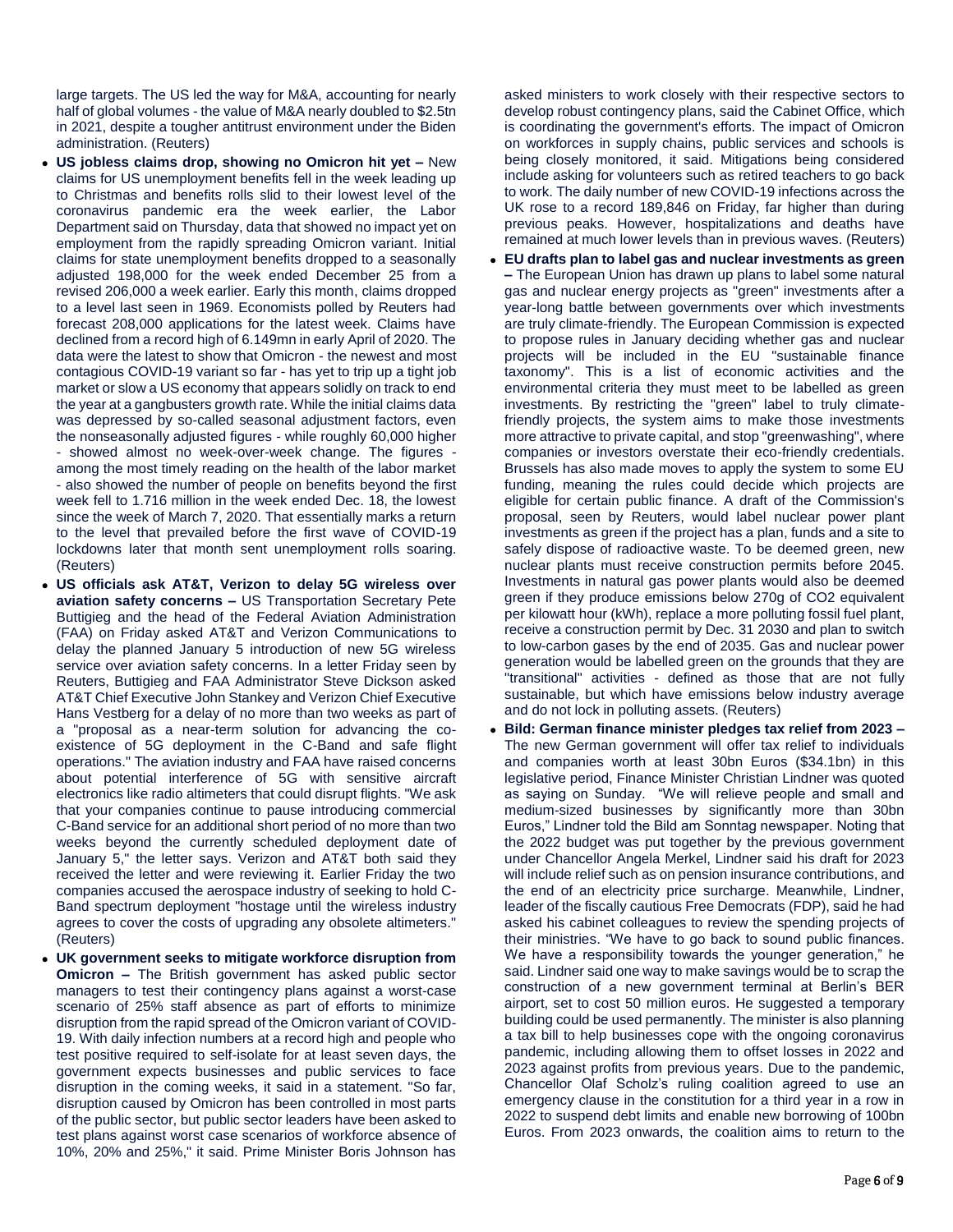large targets. The US led the way for M&A, accounting for nearly half of global volumes - the value of M&A nearly doubled to \$2.5tn in 2021, despite a tougher antitrust environment under the Biden administration. (Reuters)

- **US jobless claims drop, showing no Omicron hit yet –** New claims for US unemployment benefits fell in the week leading up to Christmas and benefits rolls slid to their lowest level of the coronavirus pandemic era the week earlier, the Labor Department said on Thursday, data that showed no impact yet on employment from the rapidly spreading Omicron variant. Initial claims for state unemployment benefits dropped to a seasonally adjusted 198,000 for the week ended December 25 from a revised 206,000 a week earlier. Early this month, claims dropped to a level last seen in 1969. Economists polled by Reuters had forecast 208,000 applications for the latest week. Claims have declined from a record high of 6.149mn in early April of 2020. The data were the latest to show that Omicron - the newest and most contagious COVID-19 variant so far - has yet to trip up a tight job market or slow a US economy that appears solidly on track to end the year at a gangbusters growth rate. While the initial claims data was depressed by so-called seasonal adjustment factors, even the nonseasonally adjusted figures - while roughly 60,000 higher - showed almost no week-over-week change. The figures among the most timely reading on the health of the labor market - also showed the number of people on benefits beyond the first week fell to 1.716 million in the week ended Dec. 18, the lowest since the week of March 7, 2020. That essentially marks a return to the level that prevailed before the first wave of COVID-19 lockdowns later that month sent unemployment rolls soaring. (Reuters)
- **US officials ask AT&T, Verizon to delay 5G wireless over aviation safety concerns –** US Transportation Secretary Pete Buttigieg and the head of the Federal Aviation Administration (FAA) on Friday asked AT&T and Verizon Communications to delay the planned January 5 introduction of new 5G wireless service over aviation safety concerns. In a letter Friday seen by Reuters, Buttigieg and FAA Administrator Steve Dickson asked AT&T Chief Executive John Stankey and Verizon Chief Executive Hans Vestberg for a delay of no more than two weeks as part of a "proposal as a near-term solution for advancing the coexistence of 5G deployment in the C-Band and safe flight operations." The aviation industry and FAA have raised concerns about potential interference of 5G with sensitive aircraft electronics like radio altimeters that could disrupt flights. "We ask that your companies continue to pause introducing commercial C-Band service for an additional short period of no more than two weeks beyond the currently scheduled deployment date of January 5," the letter says. Verizon and AT&T both said they received the letter and were reviewing it. Earlier Friday the two companies accused the aerospace industry of seeking to hold C-Band spectrum deployment "hostage until the wireless industry agrees to cover the costs of upgrading any obsolete altimeters." (Reuters)
- **UK government seeks to mitigate workforce disruption from Omicron –** The British government has asked public sector managers to test their contingency plans against a worst-case scenario of 25% staff absence as part of efforts to minimize disruption from the rapid spread of the Omicron variant of COVID-19. With daily infection numbers at a record high and people who test positive required to self-isolate for at least seven days, the government expects businesses and public services to face disruption in the coming weeks, it said in a statement. "So far, disruption caused by Omicron has been controlled in most parts of the public sector, but public sector leaders have been asked to test plans against worst case scenarios of workforce absence of 10%, 20% and 25%," it said. Prime Minister Boris Johnson has

asked ministers to work closely with their respective sectors to develop robust contingency plans, said the Cabinet Office, which is coordinating the government's efforts. The impact of Omicron on workforces in supply chains, public services and schools is being closely monitored, it said. Mitigations being considered include asking for volunteers such as retired teachers to go back to work. The daily number of new COVID-19 infections across the UK rose to a record 189,846 on Friday, far higher than during previous peaks. However, hospitalizations and deaths have remained at much lower levels than in previous waves. (Reuters)

- **EU drafts plan to label gas and nuclear investments as green –** The European Union has drawn up plans to label some natural gas and nuclear energy projects as "green" investments after a year-long battle between governments over which investments are truly climate-friendly. The European Commission is expected to propose rules in January deciding whether gas and nuclear projects will be included in the EU "sustainable finance taxonomy". This is a list of economic activities and the environmental criteria they must meet to be labelled as green investments. By restricting the "green" label to truly climatefriendly projects, the system aims to make those investments more attractive to private capital, and stop "greenwashing", where companies or investors overstate their eco-friendly credentials. Brussels has also made moves to apply the system to some EU funding, meaning the rules could decide which projects are eligible for certain public finance. A draft of the Commission's proposal, seen by Reuters, would label nuclear power plant investments as green if the project has a plan, funds and a site to safely dispose of radioactive waste. To be deemed green, new nuclear plants must receive construction permits before 2045. Investments in natural gas power plants would also be deemed green if they produce emissions below 270g of CO2 equivalent per kilowatt hour (kWh), replace a more polluting fossil fuel plant, receive a construction permit by Dec. 31 2030 and plan to switch to low-carbon gases by the end of 2035. Gas and nuclear power generation would be labelled green on the grounds that they are "transitional" activities - defined as those that are not fully sustainable, but which have emissions below industry average and do not lock in polluting assets. (Reuters)
- **Bild: German finance minister pledges tax relief from 2023 –** The new German government will offer tax relief to individuals and companies worth at least 30bn Euros (\$34.1bn) in this legislative period, Finance Minister Christian Lindner was quoted as saying on Sunday. "We will relieve people and small and medium-sized businesses by significantly more than 30bn Euros," Lindner told the Bild am Sonntag newspaper. Noting that the 2022 budget was put together by the previous government under Chancellor Angela Merkel, Lindner said his draft for 2023 will include relief such as on pension insurance contributions, and the end of an electricity price surcharge. Meanwhile, Lindner, leader of the fiscally cautious Free Democrats (FDP), said he had asked his cabinet colleagues to review the spending projects of their ministries. "We have to go back to sound public finances. We have a responsibility towards the younger generation," he said. Lindner said one way to make savings would be to scrap the construction of a new government terminal at Berlin's BER airport, set to cost 50 million euros. He suggested a temporary building could be used permanently. The minister is also planning a tax bill to help businesses cope with the ongoing coronavirus pandemic, including allowing them to offset losses in 2022 and 2023 against profits from previous years. Due to the pandemic, Chancellor Olaf Scholz's ruling coalition agreed to use an emergency clause in the constitution for a third year in a row in 2022 to suspend debt limits and enable new borrowing of 100bn Euros. From 2023 onwards, the coalition aims to return to the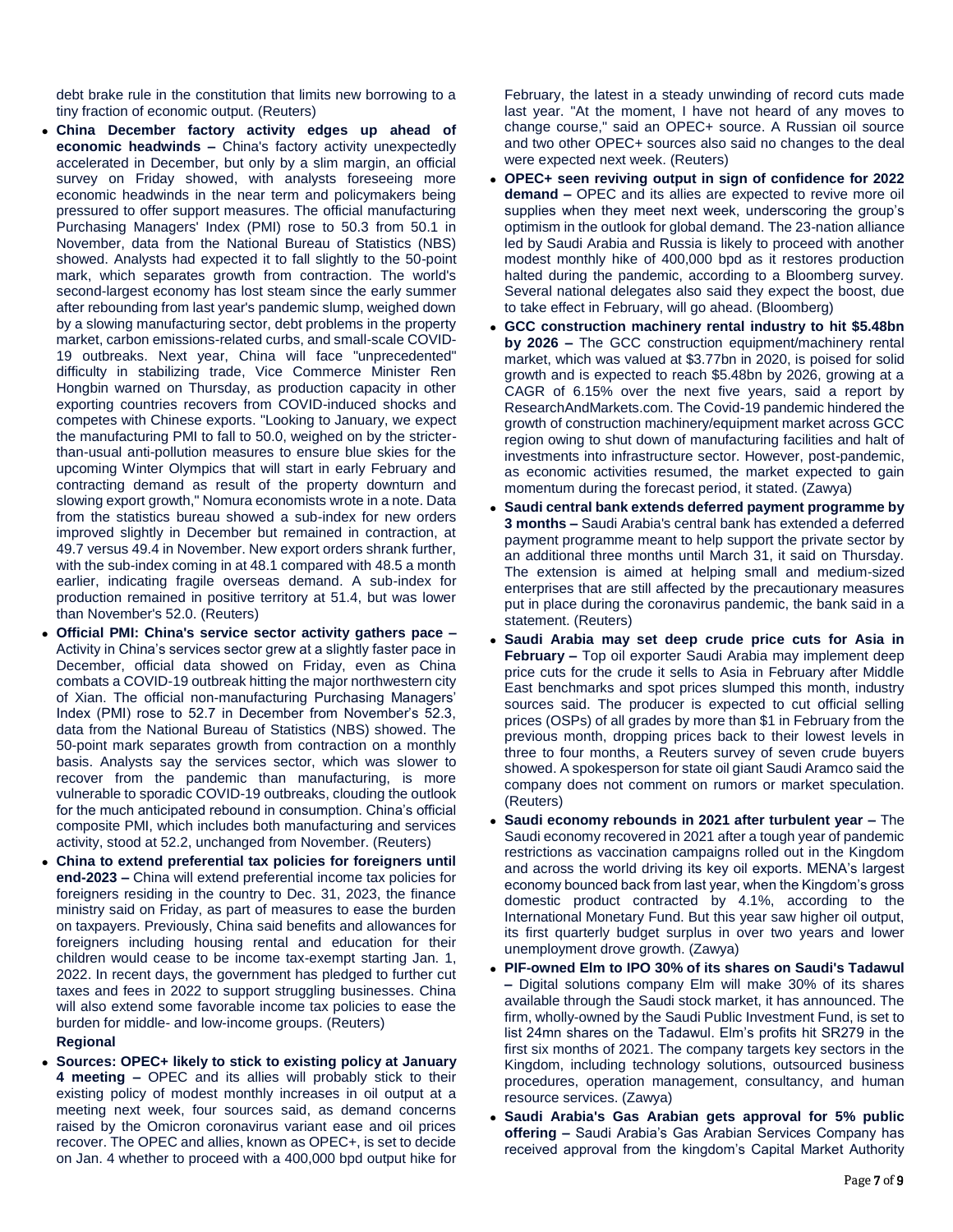debt brake rule in the constitution that limits new borrowing to a tiny fraction of economic output. (Reuters)

- **China December factory activity edges up ahead of economic headwinds –** China's factory activity unexpectedly accelerated in December, but only by a slim margin, an official survey on Friday showed, with analysts foreseeing more economic headwinds in the near term and policymakers being pressured to offer support measures. The official manufacturing Purchasing Managers' Index (PMI) rose to 50.3 from 50.1 in November, data from the National Bureau of Statistics (NBS) showed. Analysts had expected it to fall slightly to the 50-point mark, which separates growth from contraction. The world's second-largest economy has lost steam since the early summer after rebounding from last year's pandemic slump, weighed down by a slowing manufacturing sector, debt problems in the property market, carbon emissions-related curbs, and small-scale COVID-19 outbreaks. Next year, China will face "unprecedented" difficulty in stabilizing trade, Vice Commerce Minister Ren Hongbin warned on Thursday, as production capacity in other exporting countries recovers from COVID-induced shocks and competes with Chinese exports. "Looking to January, we expect the manufacturing PMI to fall to 50.0, weighed on by the stricterthan-usual anti-pollution measures to ensure blue skies for the upcoming Winter Olympics that will start in early February and contracting demand as result of the property downturn and slowing export growth," Nomura economists wrote in a note. Data from the statistics bureau showed a sub-index for new orders improved slightly in December but remained in contraction, at 49.7 versus 49.4 in November. New export orders shrank further, with the sub-index coming in at 48.1 compared with 48.5 a month earlier, indicating fragile overseas demand. A sub-index for production remained in positive territory at 51.4, but was lower than November's 52.0. (Reuters)
- **Official PMI: China's service sector activity gathers pace –** Activity in China's services sector grew at a slightly faster pace in December, official data showed on Friday, even as China combats a COVID-19 outbreak hitting the major northwestern city of Xian. The official non-manufacturing Purchasing Managers' Index (PMI) rose to 52.7 in December from November's 52.3, data from the National Bureau of Statistics (NBS) showed. The 50-point mark separates growth from contraction on a monthly basis. Analysts say the services sector, which was slower to recover from the pandemic than manufacturing, is more vulnerable to sporadic COVID-19 outbreaks, clouding the outlook for the much anticipated rebound in consumption. China's official composite PMI, which includes both manufacturing and services activity, stood at 52.2, unchanged from November. (Reuters)
- **China to extend preferential tax policies for foreigners until end-2023 –** China will extend preferential income tax policies for foreigners residing in the country to Dec. 31, 2023, the finance ministry said on Friday, as part of measures to ease the burden on taxpayers. Previously, China said benefits and allowances for foreigners including housing rental and education for their children would cease to be income tax-exempt starting Jan. 1, 2022. In recent days, the government has pledged to further cut taxes and fees in 2022 to support struggling businesses. China will also extend some favorable income tax policies to ease the burden for middle- and low-income groups. (Reuters)

### **Regional**

 **Sources: OPEC+ likely to stick to existing policy at January 4 meeting –** OPEC and its allies will probably stick to their existing policy of modest monthly increases in oil output at a meeting next week, four sources said, as demand concerns raised by the Omicron coronavirus variant ease and oil prices recover. The OPEC and allies, known as OPEC+, is set to decide on Jan. 4 whether to proceed with a 400,000 bpd output hike for

February, the latest in a steady unwinding of record cuts made last year. "At the moment, I have not heard of any moves to change course," said an OPEC+ source. A Russian oil source and two other OPEC+ sources also said no changes to the deal were expected next week. (Reuters)

- **OPEC+ seen reviving output in sign of confidence for 2022 demand –** OPEC and its allies are expected to revive more oil supplies when they meet next week, underscoring the group's optimism in the outlook for global demand. The 23-nation alliance led by Saudi Arabia and Russia is likely to proceed with another modest monthly hike of 400,000 bpd as it restores production halted during the pandemic, according to a Bloomberg survey. Several national delegates also said they expect the boost, due to take effect in February, will go ahead. (Bloomberg)
- **GCC construction machinery rental industry to hit \$5.48bn by 2026 –** The GCC construction equipment/machinery rental market, which was valued at \$3.77bn in 2020, is poised for solid growth and is expected to reach \$5.48bn by 2026, growing at a CAGR of 6.15% over the next five years, said a report by ResearchAndMarkets.com. The Covid-19 pandemic hindered the growth of construction machinery/equipment market across GCC region owing to shut down of manufacturing facilities and halt of investments into infrastructure sector. However, post-pandemic, as economic activities resumed, the market expected to gain momentum during the forecast period, it stated. (Zawya)
- **Saudi central bank extends deferred payment programme by 3 months –** Saudi Arabia's central bank has extended a deferred payment programme meant to help support the private sector by an additional three months until March 31, it said on Thursday. The extension is aimed at helping small and medium-sized enterprises that are still affected by the precautionary measures put in place during the coronavirus pandemic, the bank said in a statement. (Reuters)
- **Saudi Arabia may set deep crude price cuts for Asia in February –** Top oil exporter Saudi Arabia may implement deep price cuts for the crude it sells to Asia in February after Middle East benchmarks and spot prices slumped this month, industry sources said. The producer is expected to cut official selling prices (OSPs) of all grades by more than \$1 in February from the previous month, dropping prices back to their lowest levels in three to four months, a Reuters survey of seven crude buyers showed. A spokesperson for state oil giant Saudi Aramco said the company does not comment on rumors or market speculation. (Reuters)
- **Saudi economy rebounds in 2021 after turbulent year –** The Saudi economy recovered in 2021 after a tough year of pandemic restrictions as vaccination campaigns rolled out in the Kingdom and across the world driving its key oil exports. MENA's largest economy bounced back from last year, when the Kingdom's gross domestic product contracted by 4.1%, according to the International Monetary Fund. But this year saw higher oil output, its first quarterly budget surplus in over two years and lower unemployment drove growth. (Zawya)
- **PIF-owned Elm to IPO 30% of its shares on Saudi's Tadawul –** Digital solutions company Elm will make 30% of its shares available through the Saudi stock market, it has announced. The firm, wholly-owned by the Saudi Public Investment Fund, is set to list 24mn shares on the Tadawul. Elm's profits hit SR279 in the first six months of 2021. The company targets key sectors in the Kingdom, including technology solutions, outsourced business procedures, operation management, consultancy, and human resource services. (Zawya)
- **Saudi Arabia's Gas Arabian gets approval for 5% public offering –** Saudi Arabia's Gas Arabian Services Company has received approval from the kingdom's Capital Market Authority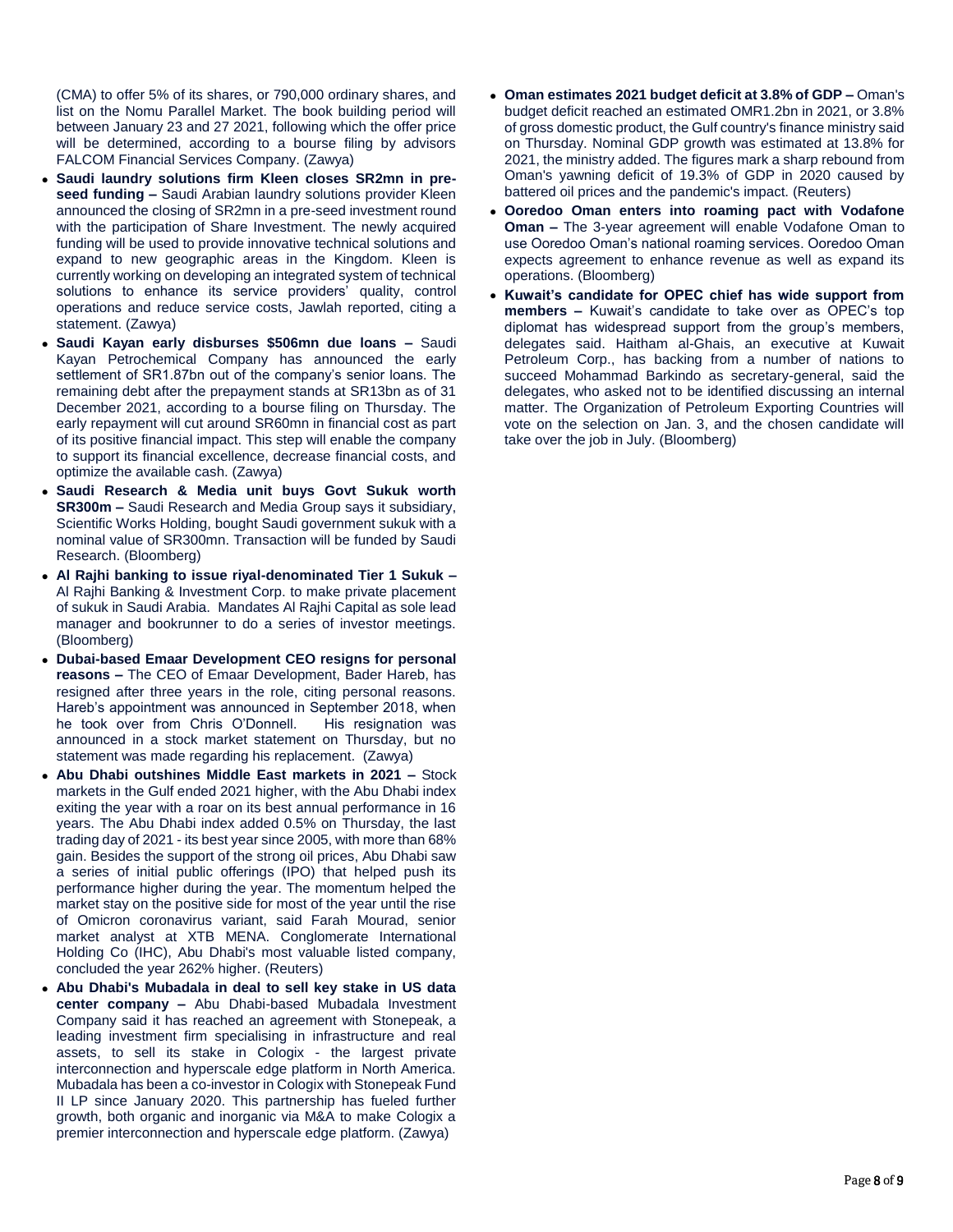(CMA) to offer 5% of its shares, or 790,000 ordinary shares, and list on the Nomu Parallel Market. The book building period will between January 23 and 27 2021, following which the offer price will be determined, according to a bourse filing by advisors FALCOM Financial Services Company. (Zawya)

- **Saudi laundry solutions firm Kleen closes SR2mn in preseed funding –** Saudi Arabian laundry solutions provider Kleen announced the closing of SR2mn in a pre-seed investment round with the participation of Share Investment. The newly acquired funding will be used to provide innovative technical solutions and expand to new geographic areas in the Kingdom. Kleen is currently working on developing an integrated system of technical solutions to enhance its service providers' quality, control operations and reduce service costs, Jawlah reported, citing a statement. (Zawya)
- **Saudi Kayan early disburses \$506mn due loans –** Saudi Kayan Petrochemical Company has announced the early settlement of SR1.87bn out of the company's senior loans. The remaining debt after the prepayment stands at SR13bn as of 31 December 2021, according to a bourse filing on Thursday. The early repayment will cut around SR60mn in financial cost as part of its positive financial impact. This step will enable the company to support its financial excellence, decrease financial costs, and optimize the available cash. (Zawya)
- **Saudi Research & Media unit buys Govt Sukuk worth SR300m –** Saudi Research and Media Group says it subsidiary, Scientific Works Holding, bought Saudi government sukuk with a nominal value of SR300mn. Transaction will be funded by Saudi Research. (Bloomberg)
- **Al Rajhi banking to issue riyal-denominated Tier 1 Sukuk –** Al Rajhi Banking & Investment Corp. to make private placement of sukuk in Saudi Arabia. Mandates Al Rajhi Capital as sole lead manager and bookrunner to do a series of investor meetings. (Bloomberg)
- **Dubai-based Emaar Development CEO resigns for personal reasons –** The CEO of Emaar Development, Bader Hareb, has resigned after three years in the role, citing personal reasons. Hareb's appointment was announced in September 2018, when he took over from Chris O'Donnell. His resignation was announced in a stock market statement on Thursday, but no statement was made regarding his replacement. (Zawya)
- **Abu Dhabi outshines Middle East markets in 2021 –** Stock markets in the Gulf ended 2021 higher, with the Abu Dhabi index exiting the year with a roar on its best annual performance in 16 years. The Abu Dhabi index added 0.5% on Thursday, the last trading day of 2021 - its best year since 2005, with more than 68% gain. Besides the support of the strong oil prices, Abu Dhabi saw a series of initial public offerings (IPO) that helped push its performance higher during the year. The momentum helped the market stay on the positive side for most of the year until the rise of Omicron coronavirus variant, said Farah Mourad, senior market analyst at XTB MENA. Conglomerate International Holding Co (IHC), Abu Dhabi's most valuable listed company, concluded the year 262% higher. (Reuters)
- **Abu Dhabi's Mubadala in deal to sell key stake in US data center company –** Abu Dhabi-based Mubadala Investment Company said it has reached an agreement with Stonepeak, a leading investment firm specialising in infrastructure and real assets, to sell its stake in Cologix - the largest private interconnection and hyperscale edge platform in North America. Mubadala has been a co-investor in Cologix with Stonepeak Fund II LP since January 2020. This partnership has fueled further growth, both organic and inorganic via M&A to make Cologix a premier interconnection and hyperscale edge platform. (Zawya)
- **Oman estimates 2021 budget deficit at 3.8% of GDP –** Oman's budget deficit reached an estimated OMR1.2bn in 2021, or 3.8% of gross domestic product, the Gulf country's finance ministry said on Thursday. Nominal GDP growth was estimated at 13.8% for 2021, the ministry added. The figures mark a sharp rebound from Oman's yawning deficit of 19.3% of GDP in 2020 caused by battered oil prices and the pandemic's impact. (Reuters)
- **Ooredoo Oman enters into roaming pact with Vodafone Oman –** The 3-year agreement will enable Vodafone Oman to use Ooredoo Oman's national roaming services. Ooredoo Oman expects agreement to enhance revenue as well as expand its operations. (Bloomberg)
- **Kuwait's candidate for OPEC chief has wide support from members –** Kuwait's candidate to take over as OPEC's top diplomat has widespread support from the group's members, delegates said. Haitham al-Ghais, an executive at Kuwait Petroleum Corp., has backing from a number of nations to succeed Mohammad Barkindo as secretary-general, said the delegates, who asked not to be identified discussing an internal matter. The Organization of Petroleum Exporting Countries will vote on the selection on Jan. 3, and the chosen candidate will take over the job in July. (Bloomberg)